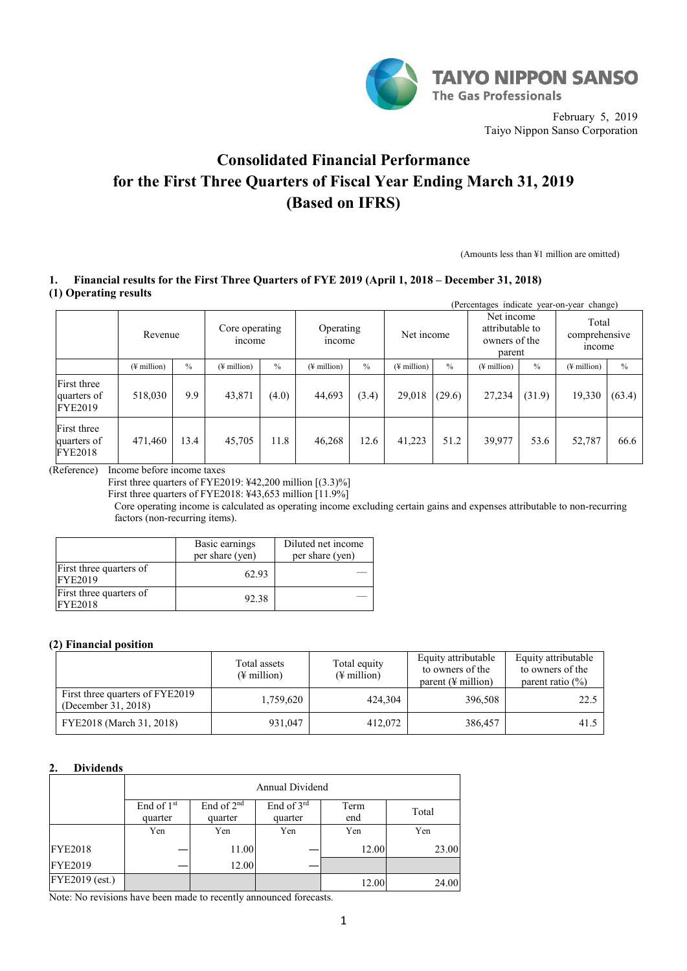

February 5, 2019 Taiyo Nippon Sanso Corporation

# **Consolidated Financial Performance for the First Three Quarters of Fiscal Year Ending March 31, 2019 (Based on IFRS)**

(Amounts less than ¥1 million are omitted)

# **1. Financial results for the First Three Quarters of FYE 2019 (April 1, 2018 – December 31, 2018) (1) Operating results**

|                                              | (Percentages indicate year-on-year change) |               |                                                       |               |             |               |                                                          |               |                                  |        |                              |               |
|----------------------------------------------|--------------------------------------------|---------------|-------------------------------------------------------|---------------|-------------|---------------|----------------------------------------------------------|---------------|----------------------------------|--------|------------------------------|---------------|
|                                              | Revenue                                    |               | Core operating<br>Operating<br><i>ncome</i><br>income |               | Net income  |               | Net income<br>attributable to<br>owners of the<br>parent |               | Total<br>comprehensive<br>income |        |                              |               |
|                                              | $(\frac{1}{2})$ million)                   | $\frac{0}{0}$ | $(\frac{1}{2})$ million                               | $\frac{0}{0}$ | (¥ million) | $\frac{0}{0}$ | $(\frac{1}{2}$ million)                                  | $\frac{0}{0}$ | $(\frac{1}{2})$ million          | $\%$   | $($ <del>¥</del> million $)$ | $\frac{0}{0}$ |
| First three<br>quarters of<br><b>FYE2019</b> | 518,030                                    | 9.9           | 43,871                                                | (4.0)         | 44,693      | (3.4)         | 29,018                                                   | (29.6)        | 27,234                           | (31.9) | 19,330                       | (63.4)        |
| First three<br>quarters of<br><b>FYE2018</b> | 471,460                                    | 13.4          | 45,705                                                | 11.8          | 46,268      | 12.6          | 41,223                                                   | 51.2          | 39,977                           | 53.6   | 52,787                       | 66.6          |

(Reference) Income before income taxes

First three quarters of FYE2019:  $\text{\textsterling}42,200$  million  $[(3.3)\%]$ 

First three quarters of FYE2018: ¥43,653 million [11.9%]

Core operating income is calculated as operating income excluding certain gains and expenses attributable to non-recurring factors (non-recurring items).

|                                           | Basic earnings<br>per share (yen) | Diluted net income<br>per share (yen) |
|-------------------------------------------|-----------------------------------|---------------------------------------|
| First three quarters of<br><b>FYE2019</b> | 62.93                             |                                       |
| First three quarters of<br><b>FYE2018</b> | 92.38                             |                                       |

# **(2) Financial position**

|                                                        | Total assets<br>$(\frac{1}{2}$ million) | Total equity<br>$(\frac{1}{2}$ million) | Equity attributable<br>to owners of the<br>parent $(\frac{1}{2})$ million | Equity attributable<br>to owners of the<br>parent ratio $(\%)$ |
|--------------------------------------------------------|-----------------------------------------|-----------------------------------------|---------------------------------------------------------------------------|----------------------------------------------------------------|
| First three quarters of FYE2019<br>(December 31, 2018) | 1,759,620                               | 424.304                                 | 396,508                                                                   | 22.5                                                           |
| FYE2018 (March 31, 2018)                               | 931,047                                 | 412,072                                 | 386,457                                                                   | 41.5                                                           |

# **2. Dividends**

|                | Annual Dividend                   |                                   |                       |             |       |  |  |  |  |
|----------------|-----------------------------------|-----------------------------------|-----------------------|-------------|-------|--|--|--|--|
|                | End of 1 <sup>st</sup><br>quarter | End of 2 <sup>nd</sup><br>quarter | End of 3rd<br>quarter | Term<br>end | Total |  |  |  |  |
|                | Yen                               | Yen                               | Yen                   | Yen         | Yen   |  |  |  |  |
| <b>FYE2018</b> |                                   | 11.00                             |                       | 12.00       | 23.00 |  |  |  |  |
| <b>FYE2019</b> |                                   | 12.00                             |                       |             |       |  |  |  |  |
| FYE2019 (est.) |                                   |                                   |                       | 12.00       | 24.00 |  |  |  |  |

Note: No revisions have been made to recently announced forecasts.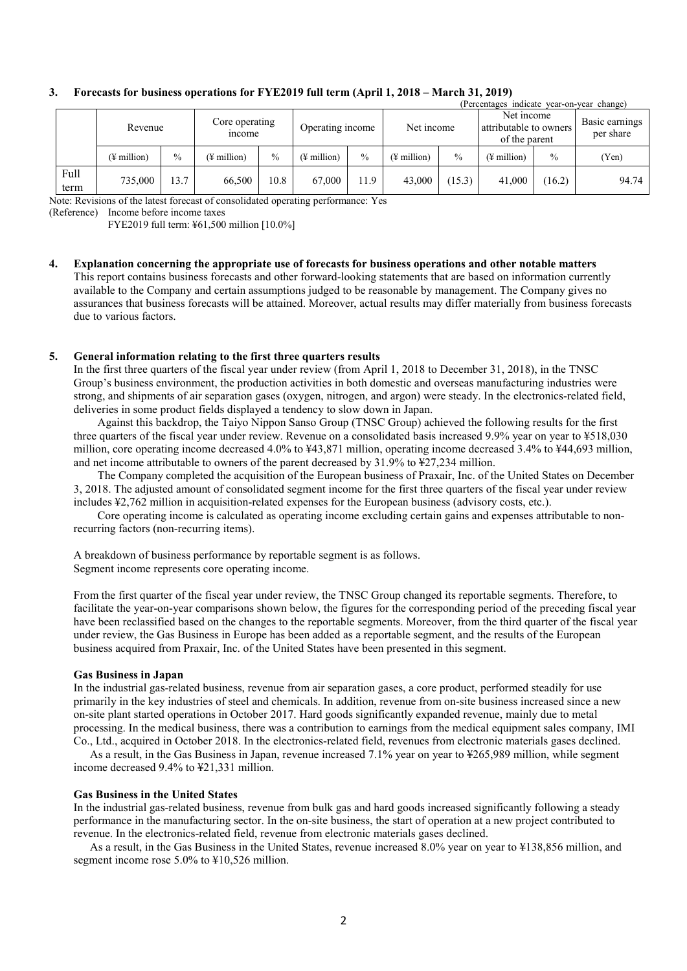|              | (Percentages indicate year-on-year change) |               |                          |      |                                |               |                                                       |               |             |                             |       |
|--------------|--------------------------------------------|---------------|--------------------------|------|--------------------------------|---------------|-------------------------------------------------------|---------------|-------------|-----------------------------|-------|
|              | Revenue                                    |               | Core operating<br>income |      | Net income<br>Operating income |               | Net income<br>attributable to owners<br>of the parent |               |             | Basic earnings<br>per share |       |
|              | $(\frac{1}{2})$ million                    | $\frac{0}{0}$ | $(\frac{1}{2})$ million  | $\%$ | $(\frac{1}{2})$ million        | $\frac{0}{0}$ | $(\frac{1}{2})$ million                               | $\frac{0}{0}$ | (¥ million) | $\frac{0}{0}$               | (Yen) |
| Full<br>term | 735,000                                    | 13.7          | 66,500                   | 10.8 | 67,000                         | 11.9          | 43,000                                                | (15.3)        | 41,000      | (16.2)                      | 94.74 |

### **3. Forecasts for business operations for FYE2019 full term (April 1, 2018 – March 31, 2019)**

Note: Revisions of the latest forecast of consolidated operating performance: Yes

(Reference) Income before income taxes

FYE2019 full term: ¥61,500 million [10.0%]

**4. Explanation concerning the appropriate use of forecasts for business operations and other notable matters** This report contains business forecasts and other forward-looking statements that are based on information currently available to the Company and certain assumptions judged to be reasonable by management. The Company gives no assurances that business forecasts will be attained. Moreover, actual results may differ materially from business forecasts due to various factors.

# **5. General information relating to the first three quarters results**

In the first three quarters of the fiscal year under review (from April 1, 2018 to December 31, 2018), in the TNSC Group's business environment, the production activities in both domestic and overseas manufacturing industries were strong, and shipments of air separation gases (oxygen, nitrogen, and argon) were steady. In the electronics-related field, deliveries in some product fields displayed a tendency to slow down in Japan.

Against this backdrop, the Taiyo Nippon Sanso Group (TNSC Group) achieved the following results for the first three quarters of the fiscal year under review. Revenue on a consolidated basis increased 9.9% year on year to ¥518,030 million, core operating income decreased 4.0% to ¥43,871 million, operating income decreased 3.4% to ¥44,693 million, and net income attributable to owners of the parent decreased by 31.9% to ¥27,234 million.

The Company completed the acquisition of the European business of Praxair, Inc. of the United States on December 3, 2018. The adjusted amount of consolidated segment income for the first three quarters of the fiscal year under review includes ¥2,762 million in acquisition-related expenses for the European business (advisory costs, etc.).

Core operating income is calculated as operating income excluding certain gains and expenses attributable to nonrecurring factors (non-recurring items).

A breakdown of business performance by reportable segment is as follows. Segment income represents core operating income.

From the first quarter of the fiscal year under review, the TNSC Group changed its reportable segments. Therefore, to facilitate the year-on-year comparisons shown below, the figures for the corresponding period of the preceding fiscal year have been reclassified based on the changes to the reportable segments. Moreover, from the third quarter of the fiscal year under review, the Gas Business in Europe has been added as a reportable segment, and the results of the European business acquired from Praxair, Inc. of the United States have been presented in this segment.

### **Gas Business in Japan**

In the industrial gas-related business, revenue from air separation gases, a core product, performed steadily for use primarily in the key industries of steel and chemicals. In addition, revenue from on-site business increased since a new on-site plant started operations in October 2017. Hard goods significantly expanded revenue, mainly due to metal processing. In the medical business, there was a contribution to earnings from the medical equipment sales company, IMI Co., Ltd., acquired in October 2018. In the electronics-related field, revenues from electronic materials gases declined.

As a result, in the Gas Business in Japan, revenue increased 7.1% year on year to ¥265,989 million, while segment income decreased 9.4% to ¥21,331 million.

### **Gas Business in the United States**

In the industrial gas-related business, revenue from bulk gas and hard goods increased significantly following a steady performance in the manufacturing sector. In the on-site business, the start of operation at a new project contributed to revenue. In the electronics-related field, revenue from electronic materials gases declined.

As a result, in the Gas Business in the United States, revenue increased 8.0% year on year to ¥138,856 million, and segment income rose 5.0% to ¥10,526 million.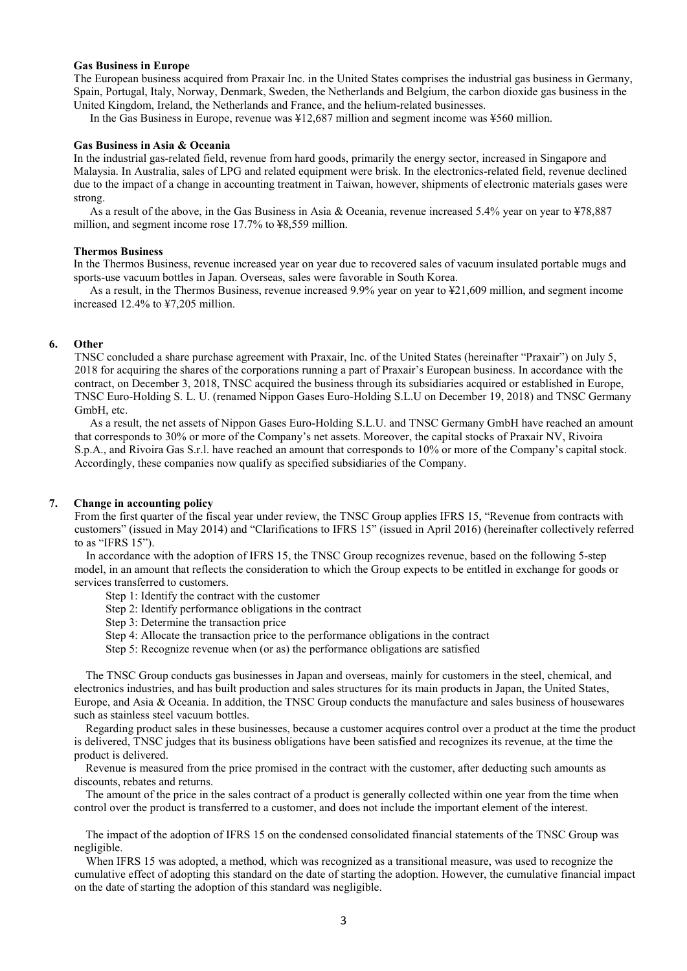#### **Gas Business in Europe**

The European business acquired from Praxair Inc. in the United States comprises the industrial gas business in Germany, Spain, Portugal, Italy, Norway, Denmark, Sweden, the Netherlands and Belgium, the carbon dioxide gas business in the United Kingdom, Ireland, the Netherlands and France, and the helium-related businesses.

In the Gas Business in Europe, revenue was ¥12,687 million and segment income was ¥560 million.

#### **Gas Business in Asia & Oceania**

In the industrial gas-related field, revenue from hard goods, primarily the energy sector, increased in Singapore and Malaysia. In Australia, sales of LPG and related equipment were brisk. In the electronics-related field, revenue declined due to the impact of a change in accounting treatment in Taiwan, however, shipments of electronic materials gases were strong.

As a result of the above, in the Gas Business in Asia & Oceania, revenue increased 5.4% year on year to ¥78,887 million, and segment income rose 17.7% to ¥8,559 million.

#### **Thermos Business**

In the Thermos Business, revenue increased year on year due to recovered sales of vacuum insulated portable mugs and sports-use vacuum bottles in Japan. Overseas, sales were favorable in South Korea.

As a result, in the Thermos Business, revenue increased 9.9% year on year to ¥21,609 million, and segment income increased 12.4% to ¥7,205 million.

### **6. Other**

TNSC concluded a share purchase agreement with Praxair, Inc. of the United States (hereinafter "Praxair") on July 5, 2018 for acquiring the shares of the corporations running a part of Praxair's European business. In accordance with the contract, on December 3, 2018, TNSC acquired the business through its subsidiaries acquired or established in Europe, TNSC Euro-Holding S. L. U. (renamed Nippon Gases Euro-Holding S.L.U on December 19, 2018) and TNSC Germany GmbH, etc.

As a result, the net assets of Nippon Gases Euro-Holding S.L.U. and TNSC Germany GmbH have reached an amount that corresponds to 30% or more of the Company's net assets. Moreover, the capital stocks of Praxair NV, Rivoira S.p.A., and Rivoira Gas S.r.l. have reached an amount that corresponds to 10% or more of the Company's capital stock. Accordingly, these companies now qualify as specified subsidiaries of the Company.

### **7. Change in accounting policy**

From the first quarter of the fiscal year under review, the TNSC Group applies IFRS 15, "Revenue from contracts with customers" (issued in May 2014) and "Clarifications to IFRS 15" (issued in April 2016) (hereinafter collectively referred to as "IFRS 15").

In accordance with the adoption of IFRS 15, the TNSC Group recognizes revenue, based on the following 5-step model, in an amount that reflects the consideration to which the Group expects to be entitled in exchange for goods or services transferred to customers.

Step 1: Identify the contract with the customer

Step 2: Identify performance obligations in the contract

Step 3: Determine the transaction price

- Step 4: Allocate the transaction price to the performance obligations in the contract
- Step 5: Recognize revenue when (or as) the performance obligations are satisfied

The TNSC Group conducts gas businesses in Japan and overseas, mainly for customers in the steel, chemical, and electronics industries, and has built production and sales structures for its main products in Japan, the United States, Europe, and Asia & Oceania. In addition, the TNSC Group conducts the manufacture and sales business of housewares such as stainless steel vacuum bottles.

Regarding product sales in these businesses, because a customer acquires control over a product at the time the product is delivered, TNSC judges that its business obligations have been satisfied and recognizes its revenue, at the time the product is delivered.

Revenue is measured from the price promised in the contract with the customer, after deducting such amounts as discounts, rebates and returns.

The amount of the price in the sales contract of a product is generally collected within one year from the time when control over the product is transferred to a customer, and does not include the important element of the interest.

The impact of the adoption of IFRS 15 on the condensed consolidated financial statements of the TNSC Group was negligible.

When IFRS 15 was adopted, a method, which was recognized as a transitional measure, was used to recognize the cumulative effect of adopting this standard on the date of starting the adoption. However, the cumulative financial impact on the date of starting the adoption of this standard was negligible.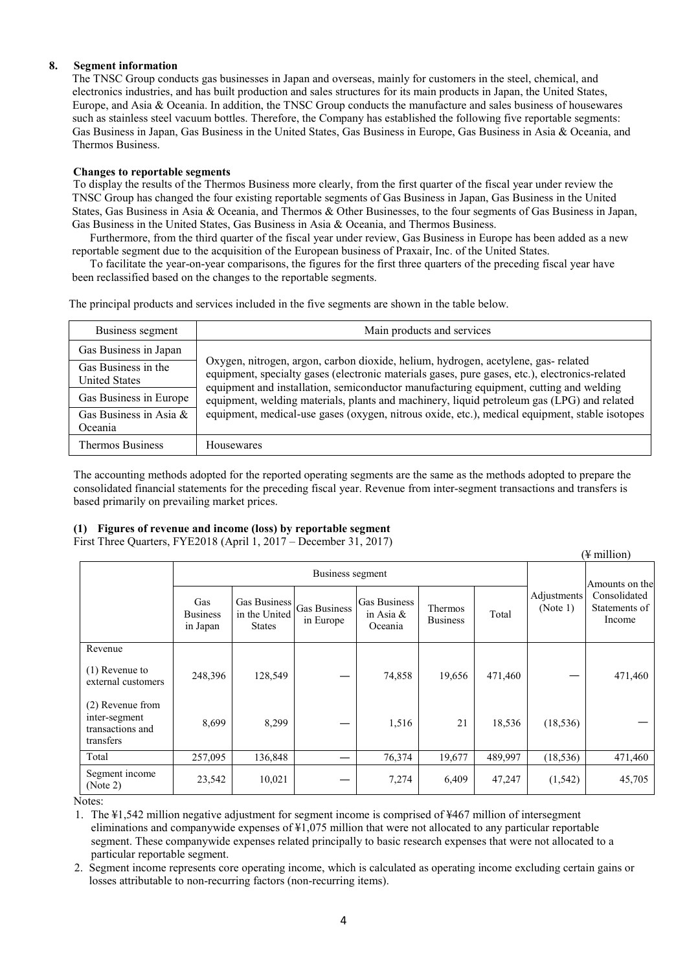# **8. Segment information**

The TNSC Group conducts gas businesses in Japan and overseas, mainly for customers in the steel, chemical, and electronics industries, and has built production and sales structures for its main products in Japan, the United States, Europe, and Asia & Oceania. In addition, the TNSC Group conducts the manufacture and sales business of housewares such as stainless steel vacuum bottles. Therefore, the Company has established the following five reportable segments: Gas Business in Japan, Gas Business in the United States, Gas Business in Europe, Gas Business in Asia & Oceania, and Thermos Business.

# **Changes to reportable segments**

To display the results of the Thermos Business more clearly, from the first quarter of the fiscal year under review the TNSC Group has changed the four existing reportable segments of Gas Business in Japan, Gas Business in the United States, Gas Business in Asia & Oceania, and Thermos & Other Businesses, to the four segments of Gas Business in Japan, Gas Business in the United States, Gas Business in Asia & Oceania, and Thermos Business.

Furthermore, from the third quarter of the fiscal year under review, Gas Business in Europe has been added as a new reportable segment due to the acquisition of the European business of Praxair, Inc. of the United States.

To facilitate the year-on-year comparisons, the figures for the first three quarters of the preceding fiscal year have been reclassified based on the changes to the reportable segments.

The principal products and services included in the five segments are shown in the table below.

| Business segment                            | Main products and services                                                                                                                                                                                                                                                    |  |  |  |  |
|---------------------------------------------|-------------------------------------------------------------------------------------------------------------------------------------------------------------------------------------------------------------------------------------------------------------------------------|--|--|--|--|
| Gas Business in Japan                       |                                                                                                                                                                                                                                                                               |  |  |  |  |
| Gas Business in the<br><b>United States</b> | Oxygen, nitrogen, argon, carbon dioxide, helium, hydrogen, acetylene, gas-related<br>equipment, specialty gases (electronic materials gases, pure gases, etc.), electronics-related<br>equipment and installation, semiconductor manufacturing equipment, cutting and welding |  |  |  |  |
| Gas Business in Europe                      | equipment, welding materials, plants and machinery, liquid petroleum gas (LPG) and related                                                                                                                                                                                    |  |  |  |  |
| Gas Business in Asia &<br>Oceania           | equipment, medical-use gases (oxygen, nitrous oxide, etc.), medical equipment, stable isotopes                                                                                                                                                                                |  |  |  |  |
| Thermos Business                            | Housewares                                                                                                                                                                                                                                                                    |  |  |  |  |

The accounting methods adopted for the reported operating segments are the same as the methods adopted to prepare the consolidated financial statements for the preceding fiscal year. Revenue from inter-segment transactions and transfers is based primarily on prevailing market prices.

# **(1) Figures of revenue and income (loss) by reportable segment**

First Three Quarters, FYE2018 (April 1, 2017 – December 31, 2017)

|                                                                    |                                    |                                                |                           |                                         |                            |         |                         | $(\frac{1}{2}$ million)                 |
|--------------------------------------------------------------------|------------------------------------|------------------------------------------------|---------------------------|-----------------------------------------|----------------------------|---------|-------------------------|-----------------------------------------|
|                                                                    |                                    |                                                |                           | Amounts on the                          |                            |         |                         |                                         |
|                                                                    | Gas<br><b>Business</b><br>in Japan | Gas Business<br>in the United<br><b>States</b> | Gas Business<br>in Europe | Gas Business<br>in Asia $\&$<br>Oceania | Thermos<br><b>Business</b> | Total   | Adjustments<br>(Note 1) | Consolidated<br>Statements of<br>Income |
| Revenue                                                            |                                    |                                                |                           |                                         |                            |         |                         |                                         |
| $(1)$ Revenue to<br>external customers                             | 248,396                            | 128,549                                        |                           | 74,858                                  | 19,656                     | 471,460 |                         | 471,460                                 |
| (2) Revenue from<br>inter-segment<br>transactions and<br>transfers | 8,699                              | 8,299                                          |                           | 1,516                                   | 21                         | 18,536  | (18, 536)               |                                         |
| Total                                                              | 257,095                            | 136,848                                        |                           | 76,374                                  | 19,677                     | 489,997 | (18, 536)               | 471,460                                 |
| Segment income<br>(Note 2)                                         | 23,542                             | 10,021                                         |                           | 7,274                                   | 6,409                      | 47,247  | (1, 542)                | 45,705                                  |

Notes:

1. The ¥1,542 million negative adjustment for segment income is comprised of ¥467 million of intersegment eliminations and companywide expenses of ¥1,075 million that were not allocated to any particular reportable segment. These companywide expenses related principally to basic research expenses that were not allocated to a particular reportable segment.

2. Segment income represents core operating income, which is calculated as operating income excluding certain gains or losses attributable to non-recurring factors (non-recurring items).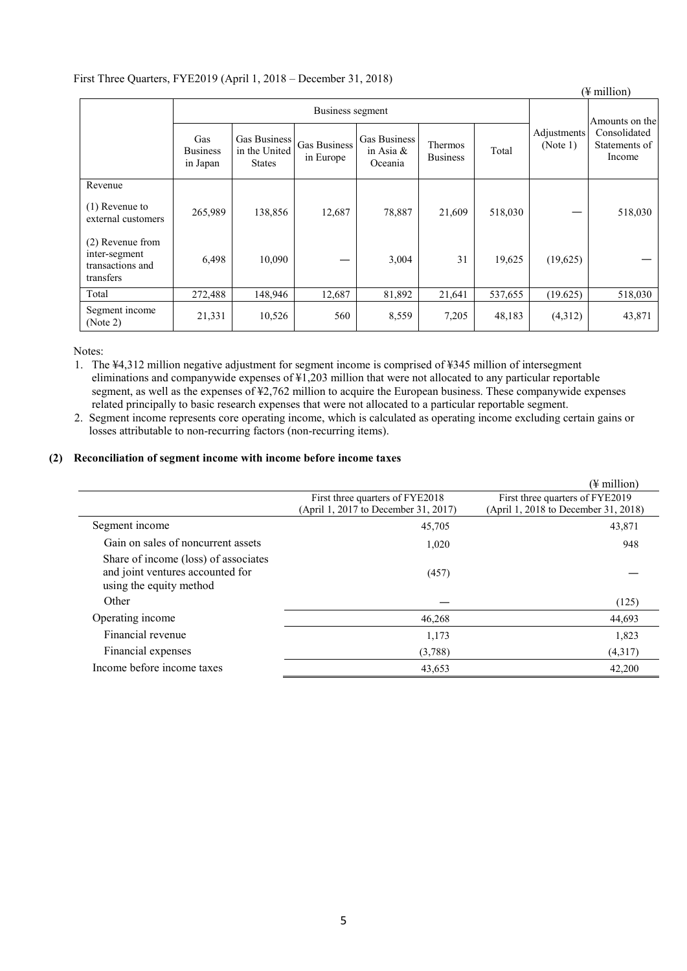# First Three Quarters, FYE2019 (April 1, 2018 – December 31, 2018)

|                                                                    |                                                                                      |         |                                                                      |        |                                     |         |                         | $(\frac{1}{2}$ million)                 |
|--------------------------------------------------------------------|--------------------------------------------------------------------------------------|---------|----------------------------------------------------------------------|--------|-------------------------------------|---------|-------------------------|-----------------------------------------|
|                                                                    | Business segment                                                                     |         |                                                                      |        |                                     |         |                         | Amounts on the                          |
|                                                                    | Gas<br>Gas Business<br>in the United<br><b>Business</b><br>in Japan<br><b>States</b> |         | Gas Business<br>Gas Business<br>in Asia $\&$<br>in Europe<br>Oceania |        | Thermos<br>Total<br><b>Business</b> |         | Adjustments<br>(Note 1) | Consolidated<br>Statements of<br>Income |
| Revenue                                                            |                                                                                      |         |                                                                      |        |                                     |         |                         |                                         |
| $(1)$ Revenue to<br>external customers                             | 265,989                                                                              | 138,856 | 12,687                                                               | 78,887 | 21,609                              | 518,030 |                         | 518,030                                 |
| (2) Revenue from<br>inter-segment<br>transactions and<br>transfers | 6,498                                                                                | 10,090  |                                                                      | 3,004  | 31                                  | 19,625  | (19,625)                |                                         |
| Total                                                              | 272,488                                                                              | 148,946 | 12,687                                                               | 81,892 | 21,641                              | 537,655 | (19.625)                | 518,030                                 |
| Segment income<br>(Note 2)                                         | 21,331                                                                               | 10,526  | 560                                                                  | 8,559  | 7,205                               | 48,183  | (4,312)                 | 43,871                                  |

Notes:

1. The ¥4,312 million negative adjustment for segment income is comprised of ¥345 million of intersegment eliminations and companywide expenses of ¥1,203 million that were not allocated to any particular reportable segment, as well as the expenses of ¥2,762 million to acquire the European business. These companywide expenses related principally to basic research expenses that were not allocated to a particular reportable segment.

2. Segment income represents core operating income, which is calculated as operating income excluding certain gains or losses attributable to non-recurring factors (non-recurring items).

# **(2) Reconciliation of segment income with income before income taxes**

|                                                                                                     |                                      | $(\frac{1}{2})$ million              |
|-----------------------------------------------------------------------------------------------------|--------------------------------------|--------------------------------------|
|                                                                                                     | First three quarters of FYE2018      | First three quarters of FYE2019      |
|                                                                                                     | (April 1, 2017 to December 31, 2017) | (April 1, 2018 to December 31, 2018) |
| Segment income                                                                                      | 45,705                               | 43,871                               |
| Gain on sales of noncurrent assets                                                                  | 1,020                                | 948                                  |
| Share of income (loss) of associates<br>and joint ventures accounted for<br>using the equity method | (457)                                |                                      |
| Other                                                                                               |                                      | (125)                                |
| Operating income                                                                                    | 46,268                               | 44,693                               |
| Financial revenue                                                                                   | 1,173                                | 1,823                                |
| Financial expenses                                                                                  | (3,788)                              | (4,317)                              |
| Income before income taxes                                                                          | 43,653                               | 42,200                               |